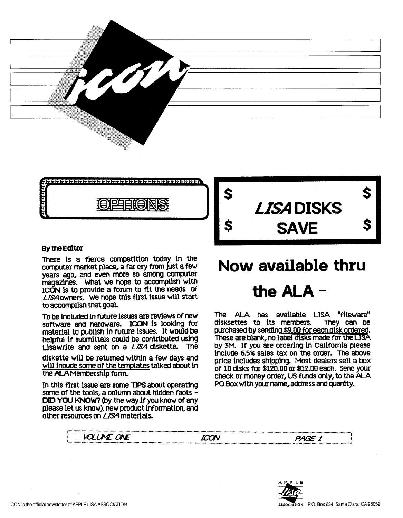



#### By the Editor

There is a fierce competition today in the computer market place, a far cry from just a few years ago, and even more so among computer magazines. What we hope to accomplish with ICON is to provide a forum to fit the needs of LISA owners. We hope this first issue will start to accomplish that goal.

To be included in future issues are reviews of new software and hardware. ICON is looking for material to publish in future issues. It would be helpful if submittals could be contributed using Lisawrite and sent on a LISA diskette. The

diskette will be returned within a few days and will incude some of the templates talked about in the ALA Membership form.

In this first issue are some TIPS about operating some of the tools, a column about hidden facts -DID YOU KNOW? (by the way if you know of any please let us know), new product information, and other resources on *LISA* materials.



### Now available thru

## the  $ALA -$

The ALA has available LISA "fileware" disksettes to its members. They can be purchased by sending \$9.00 for each disk ordered. These are blank, no label disks made for the LISA by 3M. If you are ordering in California please include 6.5% sales tax on the order. The above price includes shipping. Most dealers sell a box of 10 disks for \$120.00 or \$12.00 each. Send your check or money order, US funds only, to the ALA PO Box with your name, address and quanity.



ICON

PAGE 1

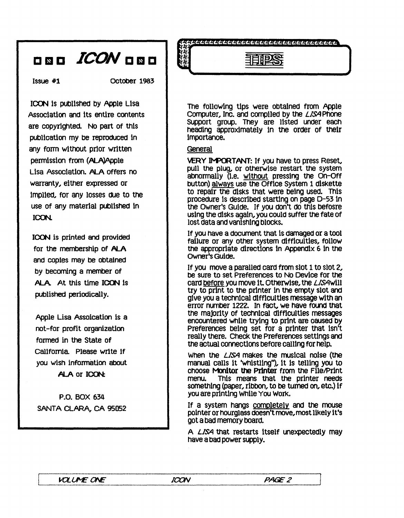## 8 D **ICON** 8 5 D

Issue #1 OCtober 1983

ICON is published by Apple Lisa Association and its entire contents are copyrighted. No part of this publication my be reproduced in any form without prior written permission from (ALA)Apple Lisa Association. ALA offers no warranty, either expressed or Impl1ed, for any losses dUe to the use of any material published in ICON.

ICON is printed and provided for the membership of ALA and caples may be obtained by becoming a member of ALA At this time ICON is published periodically.

Apple Lisa Assoication is a not-for profit organization formed in the State of California. Please write if you wish information about ALA or ICON:

P.O. BOX 634 SANTA CLARA, CA 95052

,

The following tips were obtained from Apple Computer, Inc. and compiled by the *LISA* Phone Support group. They are listed under each heading approximately in the order of their Importance.

ದ ಮದುರು ಮದುರು ಮಧುರು ಮದುರು ಮದುರು ಮದುರು ಮದುರು ಮದುರು ಮದುರು ಮ

里吃货

#### **General**

VERY IMPORTANT: If you have to press Reset,<br>pull the plug, or otherwise restart the system abnormally (l.e. without pressing the on-Off button) always use the Office System 1 disKette to repair the disks that were being used. This procedure Is described starting on page 0-53 in the Owner's Guide. If you don't do this befosre using the disks again, you could suffer the fate of lost data and vanishing blocks.

If you have a document that is damaged or a tool fallure or any other system difficulties, follow the appropriate directions in Appendix 6 in the Owner's Guide.

If you move a paralled card from slot 1 to slot 2, be sure to set Preferences to No Device for the card before you move it Otherwise, the *LISAwl11*  try to print to the printer in the empty slot and give you a technical difficulties message with an error number 1222. In fact, we have found that<br>the majority of technical difficulties messages encountered while trying to print are caused by Preferences being set for a printer that isn't really there. Check the preferences settings and the actual connections before call1ng for help.

When the *LISA* makes the musical noise (the manual calls it 'whistling"), it is telling you to choose **Monitor the Printer** from the File/Print<br>menu. This means that the orinter needs This means that the printer needs something (paper, ribbon, to be turned on, etc.) if you are printing While You Work.

If a system hangs completely and the mouse pointer or hourglass doesn't move, most likely it's got a bad memory bOard.

A *LISA* that restarts Itself unexpectedly may have a bad power supply.

L ............... ":.~."::!..:'!::. ... ":::."..."'!: .........................*................................. !..t;!0!.. .........................*....................................... :..~ .............................. .;

 $100N$   $PAF$   $PAF$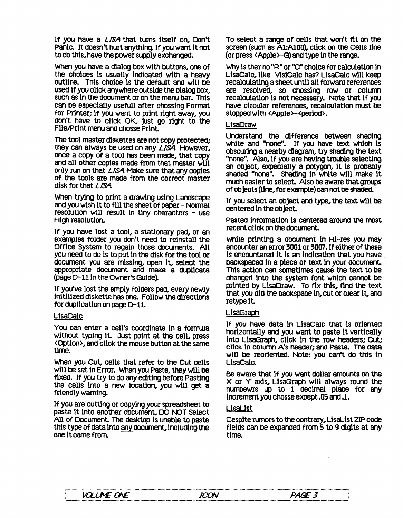If you have a *LISA* that turns itself on, Don't Panic. It doesn't hurt anything. If you want it not to do this, have the power supply exchanged.

When you have a dialog box with buttons, one of the choices is usually indicated with a heavy outline. This choice is the default and will be used if you click anywhere outside the dialog box, such as in the document or on the menu bar. This can be especially usefull after chossing Format<br>for Printer; if you want to print right away, you don't have to click OK, just go right to the File/Print menu and chosse Print.

The tool master diskettes are not copy protected;<br>they can always be used on any *LISA* However,<br>once a copy of a tool has been made, that copy and all other copies made from that master will only run on that *LISA* Make sure that any copies of the tools are made from the correct master disK for that *LISA* 

When trying to print a drawing using Landscape and you wiSh it to fill the Sheet of paper - Normal resolution will result in tiny characters - use High resolution.

If you have lost a tool, a stationary pad, or an examples folder you don't need to reinstall the Office System to regain those documents. All you need to do is to put in the disK for the tool or dOcument you are missing, open It, select the appropriate document and make a duplicate<br>(page D-11 in the Owner's Guide).

If you've lost the emply folders pact every newly initllized disKette has one. Follow the directions for duplication on page D-11.

#### UsaCalc

You can enter a cell's coordinate in a formula <Option>, and click the mouse button at the same time.

When you Cut, cells that refer to the CUt cells will be set in Error. When you Paste, they wlll be fixed. If you try to do any editing before Pasting the cells Into a new location, you will get a friendly warning.

If you are cutting or copying your spreadsheet to paste It Into another document, DO NOT Select<br>All of Document. The desktop is unable to paste this type of data into any document, including the one it came from.

To select a range of cells that won't fit on the screen (such as A1:A100), click on the Cells line (or press < Apple >-G) and type In the range.

Why is ther no "R" or "C" choice for calculation in Usacalc, llKe VlslCalc has? LlsacaIc w111 keep recalculating a sheet until all forward references are resolved, so chossing row or column have circular references, recalculation must be stopped with <Apple>-<period>.

#### LlsaDraw

Understand the difference between shading<br>white and "none". If you have text which is Obscuring a nearby dIagram, try Shading the text "none". Also, if you are having trOUble selecting an Object, expeclally a polygon, It Is probably shaded "none". Shading In white will make It much easier to select Also be aware that groups of objects (Une, for example) can not be Shaded.

If you select an Object and type, the text will be centered In the Object

Pasted information Is centered around the most recent c11ck on the document.

While printing a document in Hi-res you may encounter an error 3001 or 3007. If either of these Is encountered It is an Indication that you have backspaced In a pIece of text In your dOCument. This action can sometimes cause the text to be Changed Into the system font Which cannot be printed by LisaDraw. To fix this, find the text that you did the backspace In, cut or clear It, and retype It

#### **LisaGraph**

If you have data in LisaCalc that is oriented<br>horizontally and you want to paste it vertically into LisaGraph, click in the row headers; Cut; click in column A's header; and Paste. The data w111 be reoriented. Note: you can't do this in UsaCalc.

Be aware that if you want dOllar amounts on tne  $\times$  or  $\times$  axis. LisaGraph will always round the numbewrs up to 1 decimal place for any increment you chosse except.05 and .1.

#### LlsaLlst

Despite rumors to the contrary, LlsaList ZIP code fields can be expanded from 5 to 9 digIts at any time.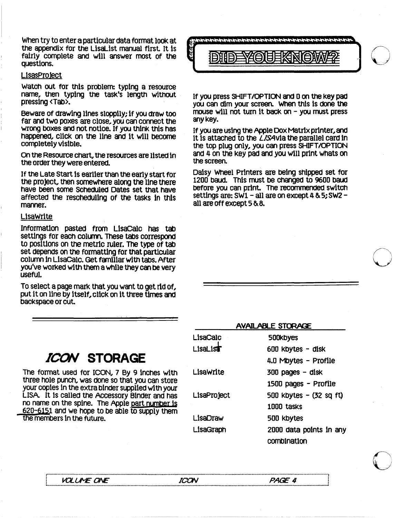When try to enter a particular data format look at the appendix for the LisaList manual first. It Is fairly complete and will answer most of the questions.

#### LisasProject

Watch out for this problem: typing a resource name, then typing the task's length without pressing <Tab>.

Beware of drawing lines slopplly; If you draw too far and two poxes are close, you can connect the wrong boxes and not notice. If you think this has happened, click on the line and it will become completely visible.

On the Resource chart, the resources are listed in the order they were entered.

If the Late Start is earlier than the early start for the project, then someWhere along the Une there have been some SCheduled Dates set that have affected the rescheduling of the tasks in this manner.

#### LisaWrite

Information pasted from Llsacalc has tab settings for each column. These tabs correspond to positions on the metric ruler. The type of tab set depends on the formatting for that particular oolumn In LlsacaiC. Get famIliar with tabs. After you've worked with them a while they oan be very useful.

To select a page mark that you want to get rid of, put it on line by itself, cUcK on it three times and backspace or cut.



If you press SHIFT/OPTION and 0 on the key pad you can dim your screen. When this is done the mouse will not turn it back on  $-$  you must press any Key.

If you are using the Apple COx Matrix printer, and It Is attached to the *LISA* via the parallel card in the top plug only, you can press SHIFT/OPTION and 4 on the key pad and you will prtnt Whats on the screen.

Daisy Wheel Printers are being shipped set for 1200 baud. This must be changed to 9600 baud before you can print. The recommended. swItCh settings are: SWl - all are on except 4 & 5; SW2 - all are off except 5 & 8.

| <i>ICON</i> STORAGE |
|---------------------|
|                     |

The format used for ICON, 7 By 9 inches with three hole punch, was done so that you can store your copies in the extra binder supplied with your LISA It Is called the Acoessory Binder and has no name on the spine. The Apple part number is 620-6151 and we hOpe to be able to supply them the members in the future.

| <b>AVAILABLE STORAGE</b> |                         |  |
|--------------------------|-------------------------|--|
| LisaCalc                 | <b>500kbyes</b>         |  |
| <b>LisaList</b>          | 600 kbytes - disk       |  |
|                          | 4.0 Mbytes - Profile    |  |
| LisaWrite                | 300 pages - disk        |  |
|                          | 1500 pages - Profile    |  |
| LisaProject              | 500 kbytes - (32 sq ft) |  |
|                          | 1000 tasks              |  |
| LisaDraw                 | 500 kbytes              |  |
| LisaGraph                | 2000 data points in any |  |
|                          | combination             |  |

**VOLUME ONE** L::::::::::~:~~::~::::::::::::::::::::::::::::::::::::::::::::::::::::::::::::!t?~::::::::::::::::::::::::::::::::::::::::::::::::::::::::::::::~~:i::::::::::::::: ::::::::]

ICON

o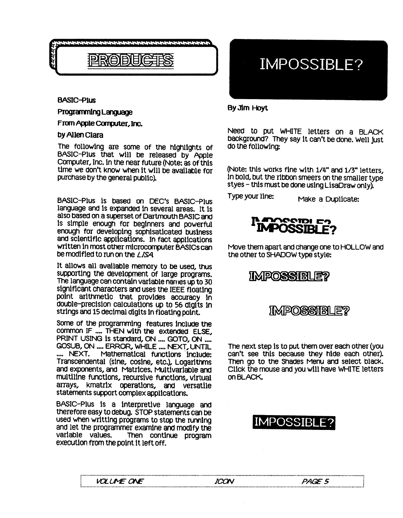

BASIC-Plus

#### Programming Language

From Apple Computer, Inc.

#### by Allen Clara

The fOllowing are some of the hlghllghts of BASIC-Plus that will be released by Apple Computer, Inc. In the near future (Note: as of this time we don't know when it will be available for purchase by the general public).

BASIC-Plus is based on DEC's BASIC-Plus language and Is expanded In several areas. It Is also based on a superset of Dartmouth BASIC and Is simple enough for beginners and powerful enough for developing sophisaticated business and scientific appllcatlons. In fact applications written In most other microcomputer BASICs can be modified to run on the *LISA* 

It allows all available memory to be used, thus<br>supporting the development of large programs. The language can contain variable names up to 30<br>significant characters and uses the IEEE floating point arithmetic that provides accuracy in double-precisIon calculatlons up to 56 digits In strings and 15 decimal digits in floating point.

Some of the programming features Include the common IF .... THEN with the extended ELSE, PRINT USING is standard, ON .... GOTO, ON .... GOSUB, ON .... ERROR, WHILE .... NEXT, UNTIL<br>.... NEXT, Mathematical functions include: Mathematical functions include: Transcendental (sine, cosine, etc.), Logarithms and exponents, and Matrices. MUltivariable and mult1l1ne functions, recursive functions, virtual arrays, kmatrix operations, and versatile statements support complex appllcatlons.

BASIC-Plus Is a interpretive language and therefore easy to debug. STOP statements can be used when writting programs to stop the running<br>and let the programmer examine and modify the<br>variable values. Then continue program execution from the point it left off.

### IMPOSSIBLE?

#### By Jim Hoyt

Need to put WHITE letters on a BLACK background? They say it can't be done. Well just do the following:

(Note: this works fine with 1/4" and 1/3" letters, In bold, but the ribbon smeers on the smaller type styes - this must be done using LisaDraw only).

Type your line: Make a Duplicate:



Move them apart and change one to HOLLOW and the other to SHADOW type style:

### **IMPOSSIBLE?**

### **IMPOSSIBLE?**

The next step is to put them over each other (you can't see this because they hide each other~ Then go to the Shades Menu and select black. Click the mouse and you will have WHITE letters on BLACK

### IMPOSSIBLE?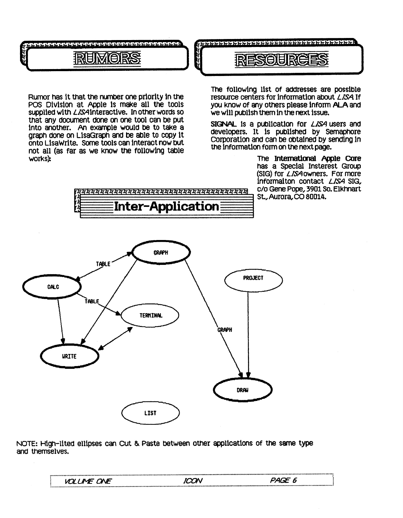

#### 的复数日 **EIR**

Rumor has it that the number one priority in the POS Division at Apple is make all the tools supplied with *LISA* interactive. In other words so that any document done on one tool can be put into another. An example would be to take a graph done on LisaGraph and be able to copy it onto LisaWrite. Some tools can interact now but not all (as far as we know the following table works):

The following list of addresses are possible resource centers for information about *LISA* If you know of any others please inform ALA and we will publish them in the next issue.

SIGNAL is a publication for LISA users and developers. It is published by Semaphore Corporation and can be obtained by sending in the information form on the next page.

> The International Apple Core has a Special Insterest Group (SIG) for *LISA* owners. For more Informalton contact LISA SIG. c/o Gene Pope, 3901 So. Elkhnart St., Aurora, CO 80014.



i<br>Hii



NOTE: High-lited ellipses can Cut & Paste between other applications of the same type and themselves.

| .                                         |  |
|-------------------------------------------|--|
| <b>ONF</b><br>$\bm{m'}$<br>$\overline{M}$ |  |
|                                           |  |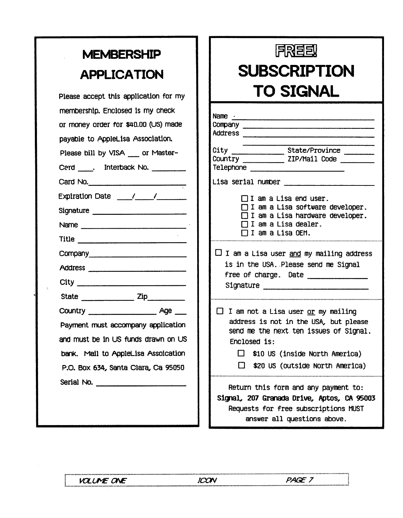## **MEMBERSHIP APPLICATION**

| Please accept this application for my                                                                                                                                                  |                                                                                                                                                                    |
|----------------------------------------------------------------------------------------------------------------------------------------------------------------------------------------|--------------------------------------------------------------------------------------------------------------------------------------------------------------------|
| membership. Enclosed is my check<br>or money order for \$40.00 (US) made<br>payable to AppleLisa Association.<br>Please bill by VISA __ or Master-<br>Cerd . Interback No.<br>Card No. | Name $\cdot$<br>Company ____<br>Address<br>$City$ <sub>------</sub><br>Country<br>Telephone<br>Lisa serial n<br>Ia<br>п<br>a<br>$\mathbf I$<br>а<br>T<br>a<br>7I a |
| City                                                                                                                                                                                   | $\square$ I am a Lis<br>is in the<br>free of ch<br>Signature                                                                                                       |
| Payment must accompany application<br>and must be in US funds drawn on US<br>bank. Mail to AppleLisa Assoication<br>P.O. Box 634, Santa Clara, Ca 95050                                | $\Box$ I am not<br>address i<br>send me t<br><b>Enclosed</b><br>□ \$10<br>$\square$ \$20                                                                           |
|                                                                                                                                                                                        | Return th<br>Signal, 207<br>Requests                                                                                                                               |

# 月成目目

# **SUBSCRIPTION TO SIGNAL**

| Name $\cdot$<br>Address                                                                                                                                                                                                         |
|---------------------------------------------------------------------------------------------------------------------------------------------------------------------------------------------------------------------------------|
|                                                                                                                                                                                                                                 |
| Lisa serial number                                                                                                                                                                                                              |
| $\Box$ I am a Lisa end user.<br>$\Box$ I am a Lisa software developer.<br>$\Box$ I am a Lisa hardware developer.<br>$\sqcap$ I am a Lisa dealer.<br>$\Box$ I am a Lisa OEM.                                                     |
| $\square$ I am a Lisa user <u>and</u> my mailing address<br>is in the USA. Please send me Signal<br>free of charge. Date _______________<br>Signature Signature                                                                 |
| $\Box$ I am not a Lisa user or my mailing<br>address is not in the USA, but please<br>send me the next ten issues of Signal.<br>Enclosed is:<br>$\Box$ \$10 US (inside North America)<br>$\Box$ \$20 US (outside North America) |
| Return this form and any payment to:<br>Signal, 207 Granada Drive, Aptos, CA 95003<br>Requests for free subscriptions MUST                                                                                                      |

answer all questions above.